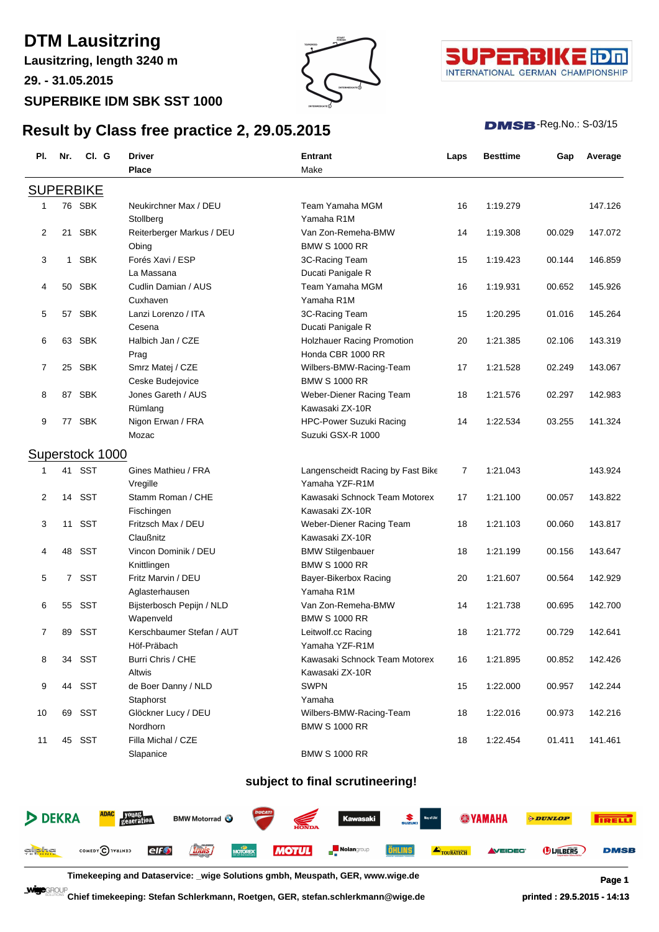# **DTM Lausitzring**

**Lausitzring, length 3240 m**

**29. - 31.05.2015**

### **SUPERBIKE IDM SBK SST 1000**

**Result by Class free practice 2, 29.05.2015**





#### $DMSB$ -Reg.No.:  $S-03/15$

| PI.            | Nr.            | CI. G            | Driver                    | <b>Entrant</b>                    | Laps | <b>Besttime</b> | Gap    | Average |
|----------------|----------------|------------------|---------------------------|-----------------------------------|------|-----------------|--------|---------|
|                |                |                  | Place                     | Make                              |      |                 |        |         |
|                |                | <b>SUPERBIKE</b> |                           |                                   |      |                 |        |         |
| 1              |                | 76 SBK           | Neukirchner Max / DEU     | Team Yamaha MGM                   | 16   | 1:19.279        |        | 147.126 |
|                |                |                  | Stollberg                 | Yamaha R1M                        |      |                 |        |         |
| 2              | 21             | <b>SBK</b>       | Reiterberger Markus / DEU | Van Zon-Remeha-BMW                | 14   | 1:19.308        | 00.029 | 147.072 |
|                |                |                  | Obing                     | <b>BMW S 1000 RR</b>              |      |                 |        |         |
| 3              | $\mathbf{1}$   | <b>SBK</b>       | Forés Xavi / ESP          | 3C-Racing Team                    | 15   | 1:19.423        | 00.144 | 146.859 |
|                |                |                  | La Massana                | Ducati Panigale R                 |      |                 |        |         |
| 4              | 50             | SBK              | Cudlin Damian / AUS       | Team Yamaha MGM                   | 16   | 1:19.931        | 00.652 | 145.926 |
|                |                |                  | Cuxhaven                  | Yamaha R1M                        |      |                 |        |         |
| 5              | 57             | <b>SBK</b>       | Lanzi Lorenzo / ITA       | 3C-Racing Team                    | 15   | 1:20.295        | 01.016 | 145.264 |
|                |                |                  | Cesena                    | Ducati Panigale R                 |      |                 |        |         |
| 6              |                | 63 SBK           | Halbich Jan / CZE         | Holzhauer Racing Promotion        | 20   | 1:21.385        | 02.106 | 143.319 |
|                |                |                  | Prag                      | Honda CBR 1000 RR                 |      |                 |        |         |
| 7              |                | 25 SBK           | Smrz Matej / CZE          | Wilbers-BMW-Racing-Team           | 17   | 1:21.528        | 02.249 | 143.067 |
|                |                |                  | Ceske Budejovice          | <b>BMW S 1000 RR</b>              |      |                 |        |         |
| 8              |                | 87 SBK           | Jones Gareth / AUS        | Weber-Diener Racing Team          | 18   | 1:21.576        | 02.297 | 142.983 |
|                |                |                  | Rümlang                   | Kawasaki ZX-10R                   |      |                 |        |         |
| 9              |                | 77 SBK           | Nigon Erwan / FRA         | <b>HPC-Power Suzuki Racing</b>    | 14   | 1:22.534        | 03.255 | 141.324 |
|                |                |                  | Mozac                     | Suzuki GSX-R 1000                 |      |                 |        |         |
|                |                | Superstock 1000  |                           |                                   |      |                 |        |         |
| 1              |                | 41 SST           | Gines Mathieu / FRA       | Langenscheidt Racing by Fast Bike | 7    | 1:21.043        |        | 143.924 |
|                |                |                  | Vregille                  | Yamaha YZF-R1M                    |      |                 |        |         |
| 2              | 14             | <b>SST</b>       | Stamm Roman / CHE         | Kawasaki Schnock Team Motorex     | 17   | 1:21.100        | 00.057 | 143.822 |
|                |                |                  | Fischingen                | Kawasaki ZX-10R                   |      |                 |        |         |
| 3              | 11             | <b>SST</b>       | Fritzsch Max / DEU        | Weber-Diener Racing Team          | 18   | 1:21.103        | 00.060 | 143.817 |
|                |                |                  | Claußnitz                 | Kawasaki ZX-10R                   |      |                 |        |         |
| 4              | 48             | <b>SST</b>       | Vincon Dominik / DEU      | <b>BMW Stilgenbauer</b>           | 18   | 1:21.199        | 00.156 | 143.647 |
|                |                |                  | Knittlingen               | <b>BMW S 1000 RR</b>              |      |                 |        |         |
| 5              | $\overline{7}$ | <b>SST</b>       | Fritz Marvin / DEU        | Bayer-Bikerbox Racing             | 20   | 1:21.607        | 00.564 | 142.929 |
|                |                |                  | Aglasterhausen            | Yamaha R1M                        |      |                 |        |         |
| 6              | 55             | SST              | Bijsterbosch Pepijn / NLD | Van Zon-Remeha-BMW                | 14   | 1:21.738        | 00.695 | 142.700 |
|                |                |                  | Wapenveld                 | <b>BMW S 1000 RR</b>              |      |                 |        |         |
| $\overline{7}$ | 89             | <b>SST</b>       | Kerschbaumer Stefan / AUT | Leitwolf.cc Racing                | 18   | 1:21.772        | 00.729 | 142.641 |
|                |                |                  | Höf-Präbach               | Yamaha YZF-R1M                    |      |                 |        |         |
| 8              |                | 34 SST           | Burri Chris / CHE         | Kawasaki Schnock Team Motorex     | 16   | 1:21.895        | 00.852 | 142.426 |
|                |                |                  | Altwis                    | Kawasaki ZX-10R                   |      |                 |        |         |
| 9              |                | 44 SST           | de Boer Danny / NLD       | <b>SWPN</b>                       | 15   | 1:22.000        | 00.957 | 142.244 |
|                |                |                  | Staphorst                 | Yamaha                            |      |                 |        |         |
| 10             |                | 69 SST           | Glöckner Lucy / DEU       | Wilbers-BMW-Racing-Team           | 18   | 1:22.016        | 00.973 | 142.216 |
|                |                |                  | Nordhorn                  | <b>BMW S 1000 RR</b>              |      |                 |        |         |
| 11             |                | 45 SST           | Filla Michal / CZE        |                                   | 18   | 1:22.454        | 01.411 | 141.461 |
|                |                |                  | Slapanice                 | <b>BMW S 1000 RR</b>              |      |                 |        |         |

### **subject to final scrutineering!**

|                      | DEKRA <b>ADAC FOUND</b> BMW Motorrad <b>O Cureation Kawasaki S Kawasaki S WAMAHA</b>                                                                                                                                           |  |  |  | <b><i>ODUNLOP</i></b> | <b>TRELLI</b> |
|----------------------|--------------------------------------------------------------------------------------------------------------------------------------------------------------------------------------------------------------------------------|--|--|--|-----------------------|---------------|
| gl <mark>iche</mark> | COMEDY CITY THE CONTROL CONTROL CONTROL CONTROL CONTROL CONTROL CONTROL CONTROL CONTROL CONTROL CONTROL CONTROL CONTROL CONTROL CONTROL CONTROL CONTROL CONTROL CONTROL CONTROL CONTROL CONTROL CONTROL CONTROL CONTROL CONTRO |  |  |  | <b>DUILBERS</b>       | <b>DMSB</b>   |

**Timekeeping and Dataservice: \_wige Solutions gmbh, Meuspath, GER, www.wige.de Page 1**

**Chief timekeeping: Stefan Schlerkmann, Roetgen, GER, stefan.schlerkmann@wige.de printed : 29.5.2015 - 14:13**